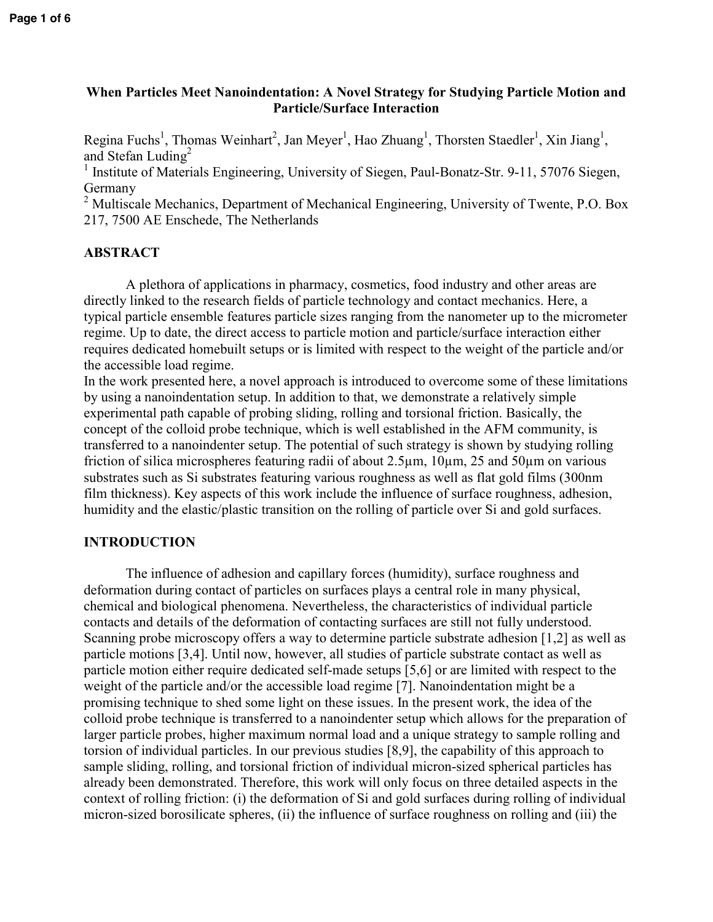## **When Particles Meet Nanoindentation: A Novel Strategy for Studying Particle Motion and Particle/Surface Interaction**

Regina Fuchs<sup>1</sup>, Thomas Weinhart<sup>2</sup>, Jan Meyer<sup>1</sup>, Hao Zhuang<sup>1</sup>, Thorsten Staedler<sup>1</sup>, Xin Jiang<sup>1</sup>, and Stefan Luding<sup>2</sup>

<sup>1</sup> Institute of Materials Engineering, University of Siegen, Paul-Bonatz-Str. 9-11, 57076 Siegen, Germany

<sup>2</sup> Multiscale Mechanics, Department of Mechanical Engineering, University of Twente, P.O. Box 217, 7500 AE Enschede, The Netherlands

# **ABSTRACT**

 A plethora of applications in pharmacy, cosmetics, food industry and other areas are directly linked to the research fields of particle technology and contact mechanics. Here, a typical particle ensemble features particle sizes ranging from the nanometer up to the micrometer regime. Up to date, the direct access to particle motion and particle/surface interaction either requires dedicated homebuilt setups or is limited with respect to the weight of the particle and/or the accessible load regime.

In the work presented here, a novel approach is introduced to overcome some of these limitations by using a nanoindentation setup. In addition to that, we demonstrate a relatively simple experimental path capable of probing sliding, rolling and torsional friction. Basically, the concept of the colloid probe technique, which is well established in the AFM community, is transferred to a nanoindenter setup. The potential of such strategy is shown by studying rolling friction of silica microspheres featuring radii of about 2.5µm, 10µm, 25 and 50µm on various substrates such as Si substrates featuring various roughness as well as flat gold films (300nm film thickness). Key aspects of this work include the influence of surface roughness, adhesion, humidity and the elastic/plastic transition on the rolling of particle over Si and gold surfaces.

## **INTRODUCTION**

 The influence of adhesion and capillary forces (humidity), surface roughness and deformation during contact of particles on surfaces plays a central role in many physical, chemical and biological phenomena. Nevertheless, the characteristics of individual particle contacts and details of the deformation of contacting surfaces are still not fully understood. Scanning probe microscopy offers a way to determine particle substrate adhesion [1,2] as well as particle motions [3,4]. Until now, however, all studies of particle substrate contact as well as particle motion either require dedicated self-made setups [5,6] or are limited with respect to the weight of the particle and/or the accessible load regime [7]. Nanoindentation might be a promising technique to shed some light on these issues. In the present work, the idea of the colloid probe technique is transferred to a nanoindenter setup which allows for the preparation of larger particle probes, higher maximum normal load and a unique strategy to sample rolling and torsion of individual particles. In our previous studies [8,9], the capability of this approach to sample sliding, rolling, and torsional friction of individual micron-sized spherical particles has already been demonstrated. Therefore, this work will only focus on three detailed aspects in the context of rolling friction: (i) the deformation of Si and gold surfaces during rolling of individual micron-sized borosilicate spheres, (ii) the influence of surface roughness on rolling and (iii) the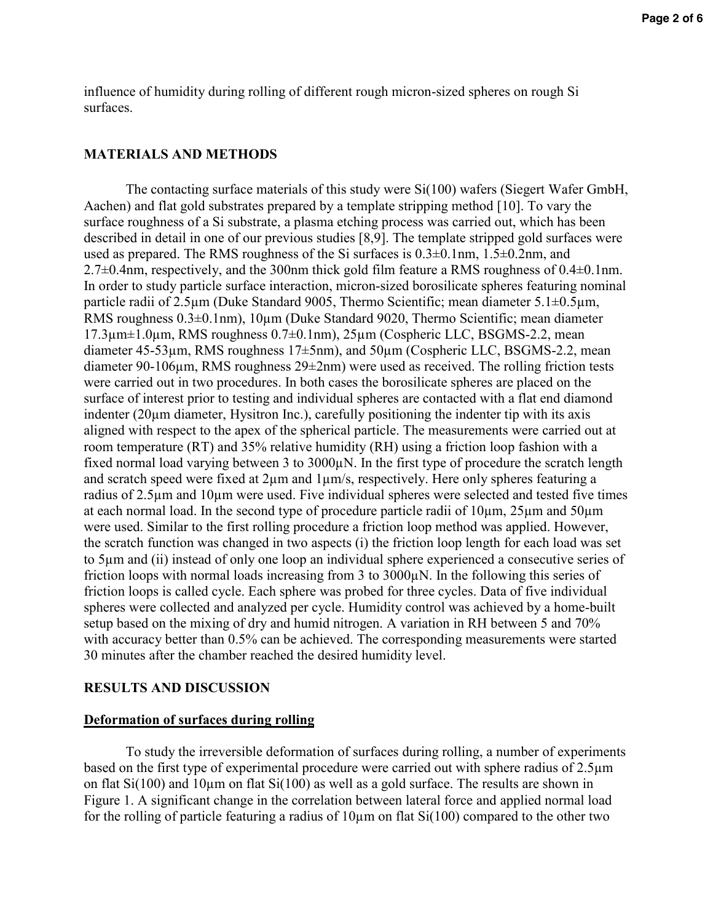influence of humidity during rolling of different rough micron-sized spheres on rough Si surfaces.

# **MATERIALS AND METHODS**

 The contacting surface materials of this study were Si(100) wafers (Siegert Wafer GmbH, Aachen) and flat gold substrates prepared by a template stripping method [10]. To vary the surface roughness of a Si substrate, a plasma etching process was carried out, which has been described in detail in one of our previous studies [8,9]. The template stripped gold surfaces were used as prepared. The RMS roughness of the Si surfaces is 0.3±0.1nm, 1.5±0.2nm, and  $2.7\pm0.4$ nm, respectively, and the 300nm thick gold film feature a RMS roughness of  $0.4\pm0.1$ nm. In order to study particle surface interaction, micron-sized borosilicate spheres featuring nominal particle radii of 2.5µm (Duke Standard 9005, Thermo Scientific; mean diameter 5.1±0.5µm, RMS roughness 0.3±0.1nm), 10µm (Duke Standard 9020, Thermo Scientific; mean diameter 17.3µm±1.0µm, RMS roughness 0.7±0.1nm), 25µm (Cospheric LLC, BSGMS-2.2, mean diameter 45-53µm, RMS roughness 17±5nm), and 50µm (Cospheric LLC, BSGMS-2.2, mean diameter 90-106µm, RMS roughness 29±2nm) were used as received. The rolling friction tests were carried out in two procedures. In both cases the borosilicate spheres are placed on the surface of interest prior to testing and individual spheres are contacted with a flat end diamond indenter (20µm diameter, Hysitron Inc.), carefully positioning the indenter tip with its axis aligned with respect to the apex of the spherical particle. The measurements were carried out at room temperature (RT) and 35% relative humidity (RH) using a friction loop fashion with a fixed normal load varying between 3 to 3000µN. In the first type of procedure the scratch length and scratch speed were fixed at 2µm and 1µm/s, respectively. Here only spheres featuring a radius of 2.5µm and 10µm were used. Five individual spheres were selected and tested five times at each normal load. In the second type of procedure particle radii of  $10\mu$ m,  $25\mu$ m and  $50\mu$ m were used. Similar to the first rolling procedure a friction loop method was applied. However, the scratch function was changed in two aspects (i) the friction loop length for each load was set to 5µm and (ii) instead of only one loop an individual sphere experienced a consecutive series of friction loops with normal loads increasing from 3 to 3000µN. In the following this series of friction loops is called cycle. Each sphere was probed for three cycles. Data of five individual spheres were collected and analyzed per cycle. Humidity control was achieved by a home-built setup based on the mixing of dry and humid nitrogen. A variation in RH between 5 and 70% with accuracy better than  $0.5\%$  can be achieved. The corresponding measurements were started 30 minutes after the chamber reached the desired humidity level.

## **RESULTS AND DISCUSSION**

## **Deformation of surfaces during rolling**

 To study the irreversible deformation of surfaces during rolling, a number of experiments based on the first type of experimental procedure were carried out with sphere radius of 2.5µm on flat  $Si(100)$  and  $10\mu$ m on flat  $Si(100)$  as well as a gold surface. The results are shown in Figure 1. A significant change in the correlation between lateral force and applied normal load for the rolling of particle featuring a radius of  $10\mu$ m on flat  $Si(100)$  compared to the other two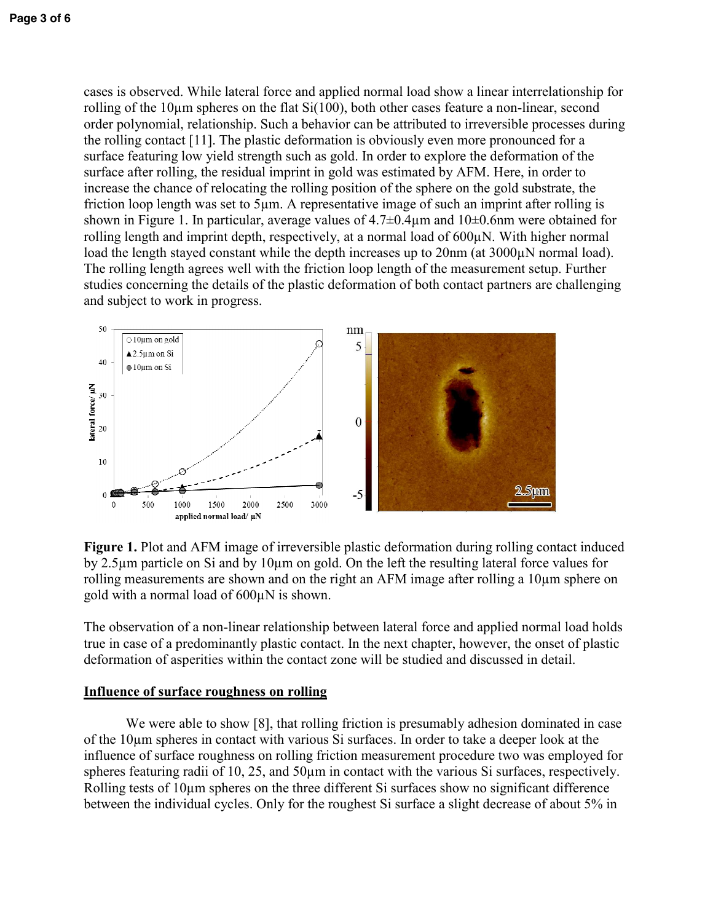cases is observed. While lateral force and applied normal load show a linear interrelationship for rolling of the 10µm spheres on the flat Si(100), both other cases feature a non-linear, second order polynomial, relationship. Such a behavior can be attributed to irreversible processes during the rolling contact [11]. The plastic deformation is obviously even more pronounced for a surface featuring low yield strength such as gold. In order to explore the deformation of the surface after rolling, the residual imprint in gold was estimated by AFM. Here, in order to increase the chance of relocating the rolling position of the sphere on the gold substrate, the friction loop length was set to 5µm. A representative image of such an imprint after rolling is shown in Figure 1. In particular, average values of  $4.7\pm0.4\mu$ m and  $10\pm0.6$ nm were obtained for rolling length and imprint depth, respectively, at a normal load of 600µN. With higher normal load the length stayed constant while the depth increases up to 20nm (at 3000µN normal load). The rolling length agrees well with the friction loop length of the measurement setup. Further studies concerning the details of the plastic deformation of both contact partners are challenging and subject to work in progress.



**Figure 1.** Plot and AFM image of irreversible plastic deformation during rolling contact induced by 2.5µm particle on Si and by 10µm on gold. On the left the resulting lateral force values for rolling measurements are shown and on the right an AFM image after rolling a 10µm sphere on gold with a normal load of 600µN is shown.

The observation of a non-linear relationship between lateral force and applied normal load holds true in case of a predominantly plastic contact. In the next chapter, however, the onset of plastic deformation of asperities within the contact zone will be studied and discussed in detail.

## **Influence of surface roughness on rolling**

We were able to show [8], that rolling friction is presumably adhesion dominated in case of the 10µm spheres in contact with various Si surfaces. In order to take a deeper look at the influence of surface roughness on rolling friction measurement procedure two was employed for spheres featuring radii of 10, 25, and 50 $\mu$ m in contact with the various Si surfaces, respectively. Rolling tests of 10µm spheres on the three different Si surfaces show no significant difference between the individual cycles. Only for the roughest Si surface a slight decrease of about 5% in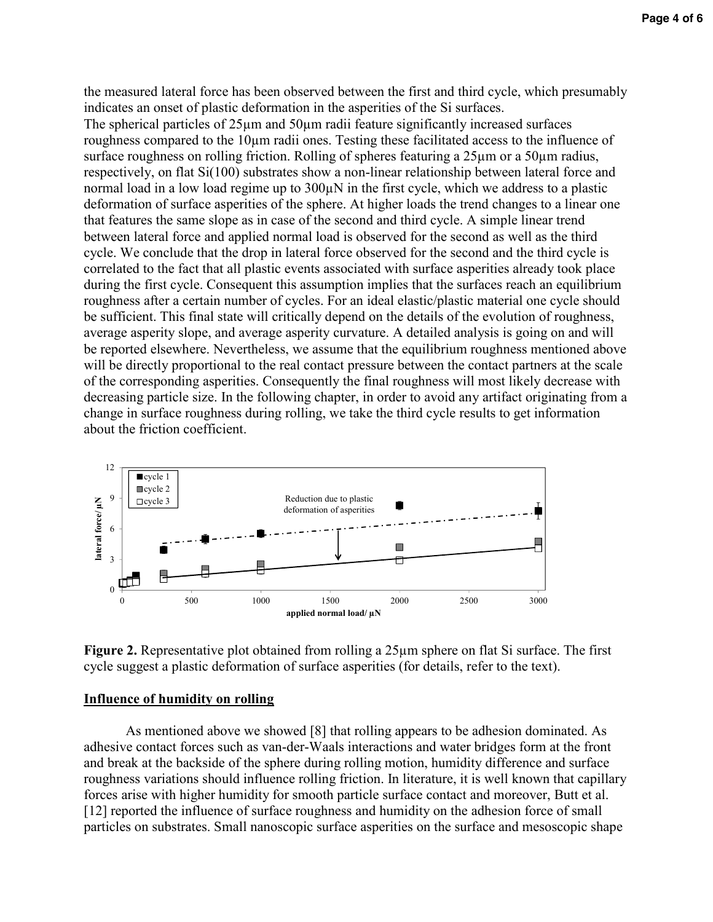the measured lateral force has been observed between the first and third cycle, which presumably indicates an onset of plastic deformation in the asperities of the Si surfaces.

The spherical particles of 25µm and 50µm radii feature significantly increased surfaces roughness compared to the 10µm radii ones. Testing these facilitated access to the influence of surface roughness on rolling friction. Rolling of spheres featuring a 25µm or a 50µm radius, respectively, on flat Si(100) substrates show a non-linear relationship between lateral force and normal load in a low load regime up to 300µN in the first cycle, which we address to a plastic deformation of surface asperities of the sphere. At higher loads the trend changes to a linear one that features the same slope as in case of the second and third cycle. A simple linear trend between lateral force and applied normal load is observed for the second as well as the third cycle. We conclude that the drop in lateral force observed for the second and the third cycle is correlated to the fact that all plastic events associated with surface asperities already took place during the first cycle. Consequent this assumption implies that the surfaces reach an equilibrium roughness after a certain number of cycles. For an ideal elastic/plastic material one cycle should be sufficient. This final state will critically depend on the details of the evolution of roughness, average asperity slope, and average asperity curvature. A detailed analysis is going on and will be reported elsewhere. Nevertheless, we assume that the equilibrium roughness mentioned above will be directly proportional to the real contact pressure between the contact partners at the scale of the corresponding asperities. Consequently the final roughness will most likely decrease with decreasing particle size. In the following chapter, in order to avoid any artifact originating from a change in surface roughness during rolling, we take the third cycle results to get information about the friction coefficient.



**Figure 2.** Representative plot obtained from rolling a 25µm sphere on flat Si surface. The first cycle suggest a plastic deformation of surface asperities (for details, refer to the text).

#### **Influence of humidity on rolling**

 As mentioned above we showed [8] that rolling appears to be adhesion dominated. As adhesive contact forces such as van-der-Waals interactions and water bridges form at the front and break at the backside of the sphere during rolling motion, humidity difference and surface roughness variations should influence rolling friction. In literature, it is well known that capillary forces arise with higher humidity for smooth particle surface contact and moreover, Butt et al. [12] reported the influence of surface roughness and humidity on the adhesion force of small particles on substrates. Small nanoscopic surface asperities on the surface and mesoscopic shape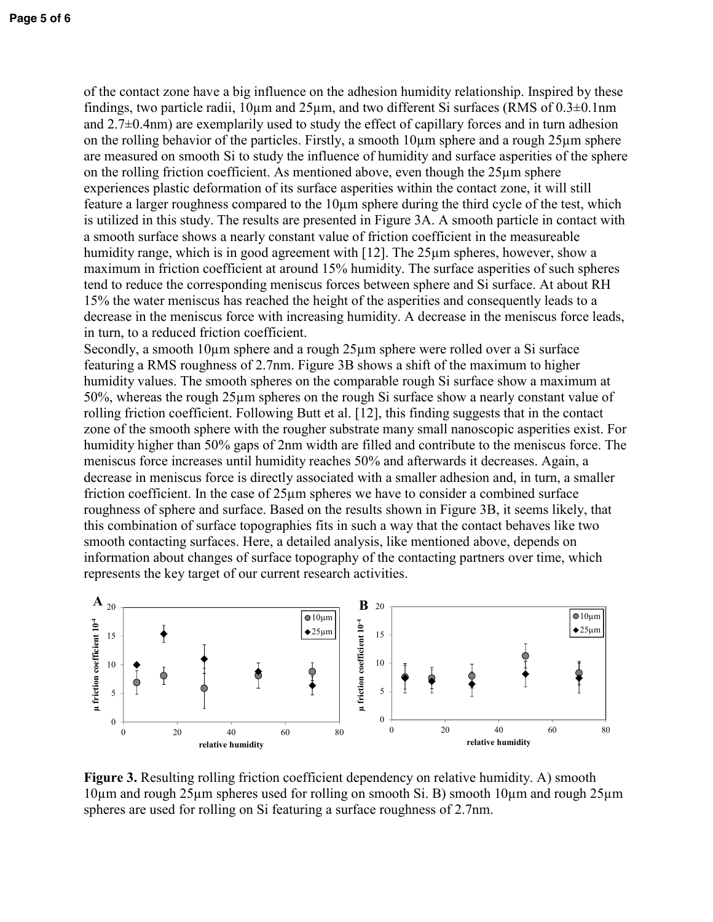of the contact zone have a big influence on the adhesion humidity relationship. Inspired by these findings, two particle radii,  $10\mu$ m and  $25\mu$ m, and two different Si surfaces (RMS of 0.3 $\pm$ 0.1nm and 2.7±0.4nm) are exemplarily used to study the effect of capillary forces and in turn adhesion on the rolling behavior of the particles. Firstly, a smooth 10µm sphere and a rough 25µm sphere are measured on smooth Si to study the influence of humidity and surface asperities of the sphere on the rolling friction coefficient. As mentioned above, even though the 25µm sphere experiences plastic deformation of its surface asperities within the contact zone, it will still feature a larger roughness compared to the 10µm sphere during the third cycle of the test, which is utilized in this study. The results are presented in Figure 3A. A smooth particle in contact with a smooth surface shows a nearly constant value of friction coefficient in the measureable humidity range, which is in good agreement with [12]. The 25µm spheres, however, show a maximum in friction coefficient at around 15% humidity. The surface asperities of such spheres tend to reduce the corresponding meniscus forces between sphere and Si surface. At about RH 15% the water meniscus has reached the height of the asperities and consequently leads to a decrease in the meniscus force with increasing humidity. A decrease in the meniscus force leads, in turn, to a reduced friction coefficient.

Secondly, a smooth 10<sup>u</sup>m sphere and a rough 25<sup>um</sup> sphere were rolled over a Si surface featuring a RMS roughness of 2.7nm. Figure 3B shows a shift of the maximum to higher humidity values. The smooth spheres on the comparable rough Si surface show a maximum at 50%, whereas the rough 25µm spheres on the rough Si surface show a nearly constant value of rolling friction coefficient. Following Butt et al. [12], this finding suggests that in the contact zone of the smooth sphere with the rougher substrate many small nanoscopic asperities exist. For humidity higher than 50% gaps of 2nm width are filled and contribute to the meniscus force. The meniscus force increases until humidity reaches 50% and afterwards it decreases. Again, a decrease in meniscus force is directly associated with a smaller adhesion and, in turn, a smaller friction coefficient. In the case of 25µm spheres we have to consider a combined surface roughness of sphere and surface. Based on the results shown in Figure 3B, it seems likely, that this combination of surface topographies fits in such a way that the contact behaves like two smooth contacting surfaces. Here, a detailed analysis, like mentioned above, depends on information about changes of surface topography of the contacting partners over time, which represents the key target of our current research activities.



**Figure 3.** Resulting rolling friction coefficient dependency on relative humidity. A) smooth 10µm and rough 25µm spheres used for rolling on smooth Si. B) smooth 10µm and rough 25µm spheres are used for rolling on Si featuring a surface roughness of 2.7nm.